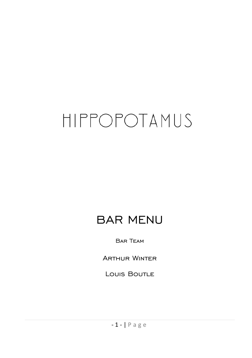# HIPPOPOTAMUS

## BAR MENU

Bar Team

Arthur Winter

Louis Boutle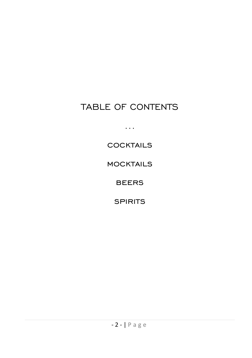## TABLE OF CONTENTS

...

**COCKTAILS** 

**MOCKTAILS** 

**BEERS** 

**SPIRITS**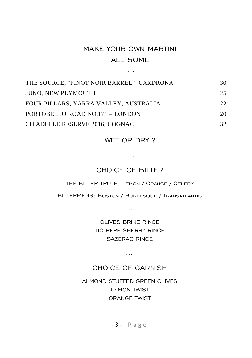## MAKE YOUR OWN MARTINI ALL 50ML

…

| THE SOURCE, "PINOT NOIR BARREL", CARDRONA | 30  |
|-------------------------------------------|-----|
| <b>JUNO. NEW PLYMOUTH</b>                 | 25. |
| FOUR PILLARS, YARRA VALLEY, AUSTRALIA     | 22  |
| PORTOBELLO ROAD NO.171 - LONDON           | 20  |
| CITADELLE RESERVE 2016, COGNAC            | 32  |

WET OR DRY?

…

## CHOICE OF BITTER

THE BITTER TRUTH: Lemon / Orange / Celery

BITTERMENS: Boston / Burlesque / Transatlantic

…

OLIVES BRINE RINCE TIO PEPE SHERRY RINCE SAZERAC RINCE

…

#### CHOICE OF GARNISH

ALMOND STUFFED GREEN OLIVES LEMON TWIST ORANGE TWIST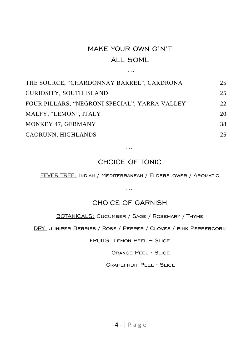## MAKE YOUR OWN G'N'T ALL 50ML

…

| THE SOURCE, "CHARDONNAY BARREL", CARDRONA     | 25 |
|-----------------------------------------------|----|
| <b>CURIOSITY, SOUTH ISLAND</b>                | 25 |
| FOUR PILLARS, "NEGRONI SPECIAL", YARRA VALLEY | 22 |
| MALFY, "LEMON", ITALY                         | 20 |
| MONKEY 47, GERMANY                            | 38 |
| CAORUNN, HIGHLANDS                            | 25 |

## CHOICE OF TONIC

…

FEVER TREE: Indian / Mediterranean / Elderflower / Aromatic

…

CHOICE OF GARNISH

BOTANICALS: Cucumber / Sage / Rosemary / Thyme

DRY: juniper Berries / Rose / Pepper / Cloves / pink Peppercorn

FRUITS: Lemon Peel – Slice

Orange Peel - Slice

Grapefruit Peel - Slice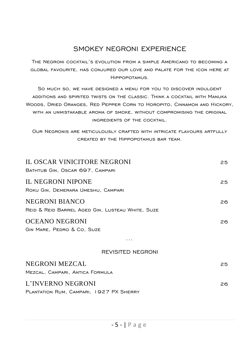## SMOKEY NEGRONI EXPERIENCE

The Negroni cocktail's evolution from a simple Americano to becoming a global favourite, has conjured our love and palate for the icon here at Hippopotamus.

So much so, we have designed a menu for you to discover indulgent additions and spirited twists on the classic. Think a cocktail with Manuka Woods, Dried Oranges, Red Pepper Corn to Horopito, Cinnamon and Hickory, with an unmistakable aroma of smoke, without compromising the original ingredients of the cocktail.

Our Negronis are meticulously crafted with intricate flavours artfully created by the Hippopotamus bar team.

| IL OSCAR VINICITORE NEGRONI<br>BATHTUB GIN, OSCAR 697, CAMPARI     | 25  |
|--------------------------------------------------------------------|-----|
| IL NEGRONI NIPONE<br>ROKU GIN, DEMERARA UMESHU, CAMPARI            | 25  |
| NEGRONI BIANCO<br>REID & REID BARREL AGED GIN, LUSTEAU WHITE, SUZE | 26. |
| OCEANO NEGRONI<br>GIN MARE, PEDRO & CO, SUZE                       | 26. |
| REVISITED NEGRONI                                                  |     |
| NEGRONI MEZCAL<br>MEZCAL, CAMPARI, ANTICA FORMULA                  | 25  |
| L'INVERNO NEGRONI<br>PLANTATION RUM, CAMPARI, 1927 PX SHERRY       | 26. |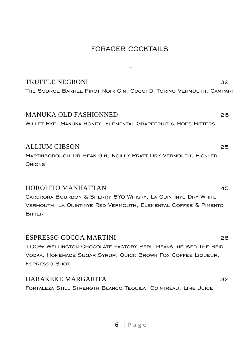## FORAGER COCKTAILS

…

| <b>TRUFFLE NEGRONI</b><br>THE SOURCE BARREL PINOT NOIR GIN, COCCI DI TORINO VERMOUTH, CAMPARI                                                                                          | 32 |
|----------------------------------------------------------------------------------------------------------------------------------------------------------------------------------------|----|
| <b>MANUKA OLD FASHIONNED</b><br>WILLET RYE, MANUKA HONEY, ELEMENTAL GRAPEFRUIT & HOPS BITTERS                                                                                          | 26 |
| <b>ALLIUM GIBSON</b><br>MARTINBOROUGH DR BEAK GIN, NOILLY PRATT DRY VERMOUTH, PICKLED<br>ONIONS                                                                                        | 25 |
| <b>HOROPITO MANHATTAN</b><br>CARDRONA BOURBON & SHERRY 5YO WHISKY, LA QUINTINYE DRY WHITE<br>VERMOUTH, LA QUINTINYE RED VERMOUTH, ELEMENTAL COFFEE & PIMENTO<br><b>BITTER</b>          | 45 |
| <b>ESPRESSO COCOA MARTINI</b><br>100% WELLINGTON CHOCOLATE FACTORY PERU BEANS INFUSED THE REID<br>VODKA, HOMEMADE SUGAR SYRUP, QUICK BROWN FOX COFFEE LIQUEUR,<br><b>ESPRESSO SHOT</b> | 28 |
| HARAKEKE MARGARITA<br>FORTALEZA STILL STRENGTH BLANCO TEQUILA, COINTREAU, LIME JUICE                                                                                                   | 32 |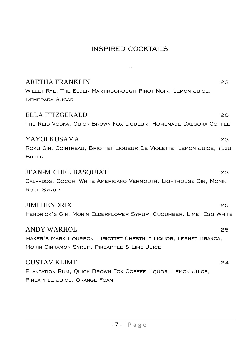## INSPIRED COCKTAILS

…

| <b>ARETHA FRANKLIN</b><br>WILLET RYE, THE ELDER MARTINBOROUGH PINOT NOIR, LEMON JUICE,<br><b>DEMERARA SUGAR</b>                      | 23 |
|--------------------------------------------------------------------------------------------------------------------------------------|----|
| <b>ELLA FITZGERALD</b><br>The Reid Vodka, Quick Brown Fox Liqueur, Homemade Dalgona Coffee                                           | 26 |
| YAYOI KUSAMA<br>ROKU GIN, COINTREAU, BRIOTTET LIQUEUR DE VIOLETTE, LEMON JUICE, YUZU<br><b>BITTER</b>                                | 23 |
| <b>JEAN-MICHEL BASQUIAT</b><br>CALVADOS, COCCHI WHITE AMERICANO VERMOUTH, LIGHTHOUSE GIN, MONIN<br><b>ROSE SYRUP</b>                 | 23 |
| <b>JIMI HENDRIX</b><br>HENDRICK'S GIN, MONIN ELDERFLOWER SYRUP, CUCUMBER, LIME, EGG WHITE                                            | 25 |
| <b>ANDY WARHOL</b><br>MAKER'S MARK BOURBON, BRIOTTET CHESTNUT LIQUOR, FERNET BRANCA,<br>MONIN CINNAMON SYRUP, PINEAPPLE & LIME JUICE | 25 |
| <b>GUSTAV KLIMT</b><br>PLANTATION RUM, QUICK BROWN FOX COFFEE LIQUOR, LEMON JUICE,<br>PINEAPPLE JUICE, ORANGE FOAM                   | 24 |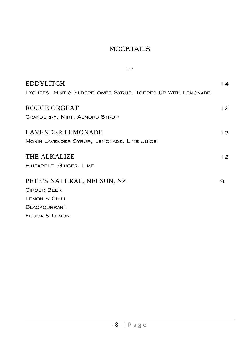## **MOCKTAILS**

...

| <b>EDDYLITCH</b><br>LYCHEES, MINT & ELDERFLOWER SYRUP, TOPPED UP WITH LEMONADE | $\overline{14}$ |
|--------------------------------------------------------------------------------|-----------------|
| ROUGE ORGEAT<br>CRANBERRY, MINT, ALMOND SYRUP                                  | 12              |
| <b>LAVENDER LEMONADE</b><br>MONIN LAVENDER SYRUP, LEMONADE, LIME JUICE         | $\overline{3}$  |
| THE ALKALIZE<br>PINEAPPLE, GINGER, LIME                                        | 12              |
| PETE'S NATURAL, NELSON, NZ<br><b>GINGER BEER</b>                               | 9               |
| LEMON & CHILI<br><b>BLACKCURRANT</b>                                           |                 |
| FEIJOA & LEMON                                                                 |                 |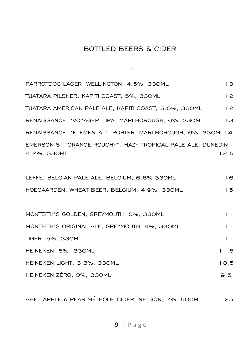## BOTTLED BEERS & CIDER

...

| PARROTDOG LAGER, WELLINGTON, 4.5%, 330ML                                    | $\overline{3}$ |
|-----------------------------------------------------------------------------|----------------|
| TUATARA PILSNER, KAPITI COAST, 5%, 330ML                                    | 12             |
| TUATARA AMERICAN PALE ALE, KAPITI COAST, 5.6%, 330ML                        | 2              |
| RENAISSANCE, 'VOYAGER', IPA, MARLBOROUGH, 6%, 330ML                         | $\overline{3}$ |
| RENAISSANCE, 'ELEMENTAL', PORTER, MARLBOROUGH, 6%, 330MLI4                  |                |
| EMERSON'S, "ORANGE ROUGHY", HAZY TROPICAL PALE ALE, DUNEDIN,<br>4.2%, 330ML | 12.5           |
| LEFFE, BELGIAN PALE ALE, BELGIUM, 6.6% 330ML                                | 16             |
| HOEGAARDEN, WHEAT BEER, BELGIUM, 4.9%, 330ML                                | 15             |
|                                                                             |                |
| MONTEITH'S GOLDEN, GREYMOUTH, 5%, 330ML                                     | $\mathbf{L}$   |
| MONTEITH'S ORIGINAL ALE, GREYMOUTH, 4%, 330ML                               | $\perp$        |
| TIGER, 5%, 330ML                                                            | $\mathbf{L}$   |
| HEINEKEN, 5%, 330ML                                                         | 11.5           |
| HEINEKEN LIGHT, 3.3%, 330ML                                                 | 10.5           |
| HEINEKEN ZÉRO, O%, 330ML                                                    | 9.5            |
|                                                                             |                |

ABEL APPLE & PEAR MÉTHODE CIDER, NELSON, 7%, 500ML 25

- 9 - | P a g e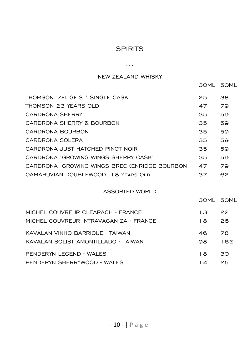#### **SPIRITS**

...

#### NEW ZEALAND WHISKY

30ML 50ML

| THOMSON 'ZEITGEIST' SINGLE CASK                 | 25.             | 38        |
|-------------------------------------------------|-----------------|-----------|
| THOMSON 23 YEARS OLD                            | 47              | 79        |
| <b>CARDRONA SHERRY</b>                          | 35              | 59        |
| CARDRONA SHERRY & BOURBON                       | 35              | 59        |
| CARDRONA BOURBON                                | 35              | 59        |
| CARDRONA SOLERA                                 | 35              | 59        |
| CARDRONA JUST HATCHED PINOT NOIR                | 35              | 59        |
| CARDRONA 'GROWING WINGS SHERRY CASK'            | 35              | 59        |
| CARDRONA 'GROWING WINGS BRECKENRIDGE BOURBON 47 |                 | 79        |
| OAMARUVIAN DOUBLEWOOD, 18 YEARS OLD             | 37              | 62        |
| ASSORTED WORLD                                  |                 |           |
|                                                 |                 | 30ML 50ML |
| MICHEL COUVREUR CLEARACH - FRANCE               | $\overline{13}$ | 22        |
| MICHEL COUVREUR INTRAVAGAN'ZA - FRANCE          | 18              | 26        |
| KAVALAN VINHO BARRIOUE - TAIWAN                 | 46 —            | 78        |
| KAVALAN SOLIST AMONTILLADO - TAIWAN             | 98              | 162       |
| PENDERYN LEGEND - WALES                         | BA              | 30        |
| PENDERYN SHERRYWOOD - WALES                     | $\overline{4}$  | 25        |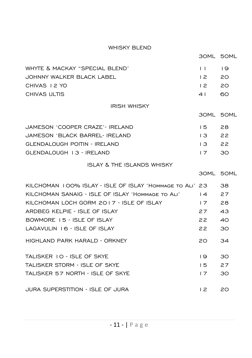#### WHISKY BLEND

| WHYTE & MACKAY "SPECIAL BLEND' | $\begin{array}{ccc} & & & \text{1} & \text{1} & \text{1} & \text{1} & \text{1} & \text{1} & \text{1} & \text{1} & \text{1} & \text{1} & \text{1} & \text{1} & \text{1} & \text{1} & \text{1} & \text{1} & \text{1} & \text{1} & \text{1} & \text{1} & \text{1} & \text{1} & \text{1} & \text{1} & \text{1} & \text{1} & \text{1} & \text{1} & \text{1} & \text{1} & \text{1} & \text{1} & \text{1} & \text{1} & \text{1} &$ |      |
|--------------------------------|-----------------------------------------------------------------------------------------------------------------------------------------------------------------------------------------------------------------------------------------------------------------------------------------------------------------------------------------------------------------------------------------------------------------------------|------|
| JOHNNY WALKER BLACK LABEL      |                                                                                                                                                                                                                                                                                                                                                                                                                             | 1220 |
| CHIVAS 12 YO                   | 1220                                                                                                                                                                                                                                                                                                                                                                                                                        |      |
| CHIVAS ULTIS                   | 4 I                                                                                                                                                                                                                                                                                                                                                                                                                         | ഒറ   |

#### IRISH WHISKY

30ML 50ML

| JAMESON 'COOPER CRAZE'- IRELAND     | 15 28                         |  |
|-------------------------------------|-------------------------------|--|
| JAMESON 'BLACK BARREL- IRELAND      | $\overline{3}$ $\overline{2}$ |  |
| <b>GLENDALOUGH POITIN - IRELAND</b> | $\overline{3}$ $\overline{2}$ |  |
| GLENDALOUGH 13 - IRELAND            | $17$ 30                       |  |
|                                     |                               |  |

#### ISLAY & THE ISLANDS WHISKY

30ML 50ML

| KILCHOMAN 100% ISLAY - ISLE OF ISLAY 'HOMMAGE TO ALI' 23 |                | 38 |
|----------------------------------------------------------|----------------|----|
| KILCHOMAN SANAIG - ISLE OF ISLAY 'HOMMAGE TO ALI'        | $\overline{4}$ | 27 |
| KILCHOMAN LOCH GORM 2017 - ISLE OF ISLAY                 | 17             | 28 |
| ARDBEG KELPIE - ISLE OF ISLAY                            | 27             | 43 |
| BOWMORE 15 - ISLE OF ISLAY                               | 22             | 40 |
| LAGAVULIN 16 - ISLE OF ISLAY                             | 22             | 30 |
| HIGHI AND PARK HARAI D - ORKNFY                          | 20             | 34 |
| TALISKER 10 - ISLE OF SKYE                               | 19             | 30 |
| TAI ISKER STORM - ISLE OF SKYF                           | 15             | 27 |
| TAI ISKER 57 NORTH - ISI F OF SKYF                       | 17             | 30 |
| JURA SUPERSTITION - ISLE OF JURA                         | 12             | 20 |
|                                                          |                |    |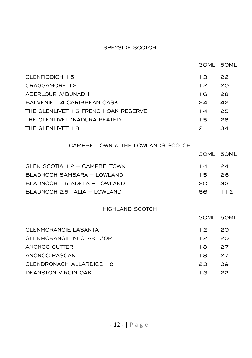#### SPEYSIDE SCOTCH

|                                     |                  | 30ML 50ML |
|-------------------------------------|------------------|-----------|
| GLENFIDDICH 15                      | $\overline{3}$   | 22        |
| CRAGGAMORE 12                       | 12               | 20        |
| ABERLOUR A'BUNADH                   | 16               | 28        |
| BALVENIE 14 CARIBBEAN CASK          | 24               | 42        |
| THE GLENLIVET 15 FRENCH OAK RESERVE | $\overline{14}$  | 25        |
| THE GLENLIVET 'NADURA PEATED'       | 15               | 28        |
| THE GLENLIVET 18                    | 21               | 34        |
| CAMPBELTOWN & THE LOWLANDS SCOTCH   |                  |           |
|                                     |                  | 30ML 50ML |
| GLEN SCOTIA 12 - CAMPBELTOWN        | $\overline{14}$  | 24        |
| BLADNOCH SAMSARA - LOWLAND          | $15 -$           | 26        |
| BLADNOCH I5 ADELA - LOWLAND         | 20 L             | 33        |
| BLADNOCH 25 TALIA - LOWLAND         | 66 —             | 112       |
| <b>HIGHLAND SCOTCH</b>              |                  |           |
|                                     | <b>30ML 50ML</b> |           |
| <b>GLENMORANGIE LASANTA</b>         | 12               | 20        |
| <b>GLENMORANGIE NECTAR D'OR</b>     | 12               | 20        |
| ANCNOC CUTTER                       | 18               | 27        |
| ANCNOC RASCAN                       | 18               | 27        |
| <b>GLENDRONACH ALLARDICE 18</b>     | 23               | 39        |
| <b>DEANSTON VIRGIN OAK</b>          | $\overline{3}$   | 22        |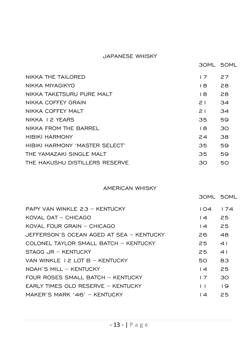#### JAPANESE WHISKY

|                                 | 30ML 50ML |    |
|---------------------------------|-----------|----|
| NIKKA THE TAILORED              | 17        | 27 |
| NIKKA MIYAGIKYO                 | I 8       | 28 |
| NIKKA TAKETSURU PURE MALT       | 18        | 28 |
| NIKKA COFFFY GRAIN              | 21        | 34 |
| NIKKA COFFEY MALT               | 21        | 34 |
| NIKKA I 2 YFARS                 | 35        | 59 |
| NIKKA FROM THF BARRFI           | 18        | 30 |
| <b>HIBIKI HARMONY</b>           | 24        | 38 |
| HIBIKI HARMONY 'MASTER SEI FCT' | 35        | 59 |
| THE YAMAZAKI SINGLE MALT        | 35        | 59 |
| THE HAKUSHU DISTILLERS RESERVE  | 30        | 50 |

#### AMERICAN WHISKY

|                                          | 30ML 50ML       |                 |
|------------------------------------------|-----------------|-----------------|
| PAPY VAN WINKLE 23 - KENTUCKY            | 104             | 174             |
| KOVAL OAT - CHICAGO                      | $\overline{14}$ | 25              |
| KOVAL FOUR GRAIN - CHICAGO               | $\overline{14}$ | 25              |
| JFFFFRSON'S OCFAN AGFD AT SFA - KFNTUCKY | 26.             | 48              |
| COLONEL TAYLOR SMALL BATCH - KENTUCKY    | 25              | 41              |
| STAGG JR - KENTUCKY                      | 25              | 41              |
| VAN WINKLE 12 LOT B - KENTUCKY           | 50              | 83              |
| NOAH'S MILL - KENTUCKY                   | $\overline{4}$  | 25              |
| FOUR ROSES SMALL BATCH - KENTUCKY        | 17              | 30              |
| EARLY TIMES OLD RESERVE - KENTUCKY       | $\mathsf{L}$    | $\overline{19}$ |
| MAKER'S MARK '46' - KENTUCKY             | $\overline{4}$  | 25              |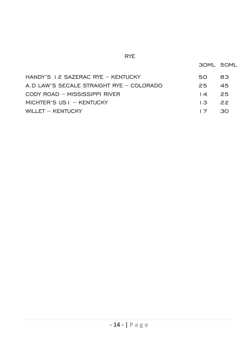#### RYE

30ML 50ML

| HANDY'S I 2 SAZERAC RYE - KENTUCKY       | 50.            | 83              |
|------------------------------------------|----------------|-----------------|
| A.D LAW'S SECALE STRAIGHT RYE - COLORADO | 25.            | 45              |
| CODY ROAD - MISSISSIPPI RIVER            | $\overline{A}$ | - 25            |
| MICHTER'S US $I - KENTUCKY$              | $\mathsf{L}$   | $\overline{22}$ |
| WILLET - KENTUCKY                        | 17             | ാറ              |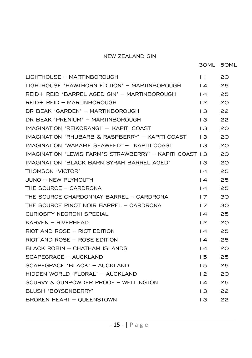#### NEW ZEALAND GIN

| LIGHTHOUSE - MARTINBOROUGH                               | $\mathsf{L}$    | 20 |
|----------------------------------------------------------|-----------------|----|
| LIGHTHOUSE 'HAWTHORN EDITION' - MARTINBOROUGH            | $\overline{14}$ | 25 |
| REID+ REID 'BARREL AGED GIN' - MARTINBOROUGH             | $\overline{14}$ | 25 |
| REID+ REID - MARTINBOROUGH                               | 12              | 20 |
| DR BEAK 'GARDEN' - MARTINBOROUGH                         | $\overline{13}$ | 22 |
| DR BEAK 'PRENIUM' - MARTINBOROUGH                        | 13.             | 22 |
| IMAGINATION 'REIKORANGI' - KAPITI COAST                  | 13              | 20 |
| IMAGINATION 'RHUBARB & RASPBERRY' - ΚΑΡΙΤΙ COAST         | $\overline{3}$  | 20 |
| IMAGINATION 'WAKAME SEAWEED' - KAPITI COAST              | $\overline{13}$ | 20 |
| IMAGINATION 'LEWIS FARM'S STRAWBERRY' - KAPITI COAST I 3 |                 | 20 |
| IMAGINATION 'BLACK BARN SYRAH BARREL AGED'               | $\overline{3}$  | 20 |
| THOMSON 'VICTOR'                                         | $\overline{4}$  | 25 |
| JUNO - NEW PLYMOUTH                                      | $\overline{14}$ | 25 |
| THE SOURCE - CARDRONA                                    | $\overline{4}$  | 25 |
| THE SOURCE CHARDONNAY BARREL - CARDRONA                  | 17              | 30 |
| THE SOURCE PINOT NOIR BARREL - CARDRONA                  | 17              | 30 |
| <b>CURIOSITY NEGRONI SPECIAL</b>                         | $\overline{14}$ | 25 |
| $KARVEN - RIVERHEAD$                                     | 12              | 20 |
| $RIOT AND ROSE - RIOT EDITION$                           | $\overline{14}$ | 25 |
| RIOT AND ROSE - ROSE EDITION                             | $\overline{14}$ | 25 |
| BLACK ROBIN - CHATHAM ISLANDS                            | $\overline{14}$ | 20 |
| SCAPEGRACE - AUCKLAND                                    | 15              | 25 |
| SCAPEGRACE 'BLACK' - AUCKLAND                            | 15.             | 25 |
| HIDDEN WORLD 'FLORAL' - AUCKLAND                         | $\overline{2}$  | 20 |
| SCURVY & GUNPOWDER PROOF - WELLINGTON                    | $\overline{14}$ | 25 |
| BLUSH 'BOYSENBERRY'                                      | 13              | 22 |
| BROKEN HEART - QUEENSTOWN                                | 13              | 22 |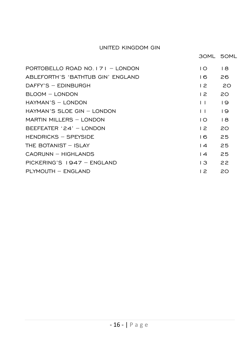#### UNITED KINGDOM GIN

| PORTOBELLO ROAD NO $171 - 10000N$  | I O            | I 8             |
|------------------------------------|----------------|-----------------|
| ABI FFORTH'S 'BATHTUB GIN' FNGLAND | 16             | 26              |
| $DAFFY'S - EDINBURGH$              | 12             | 20              |
| BLOOM - LONDON                     | 12             | 20              |
| HAYMAN'S - LONDON                  | $\mathsf{L}$   | $\overline{19}$ |
| $HAYMAN'S SI OF GIN - I ONDOM$     | $\perp$        | $\overline{9}$  |
| MARTIN MILLERS - LONDON            | $\overline{O}$ | 18              |
| $BFFFTATFR '24' - I ONDOM$         | 12             | 20              |
| HENDRICKS - SPEYSIDE               | 16             | 25              |
| THE BOTANIST - ISLAY               | $\overline{4}$ | 25              |
| CAORUNN - HIGHI ANDS               | $\overline{4}$ | 25              |
| $PICKFRING'S 1947 - FNGI AND$      | I 3            | 22              |
| PLYMOUTH - ENGLAND                 | 12             | 20              |
|                                    |                |                 |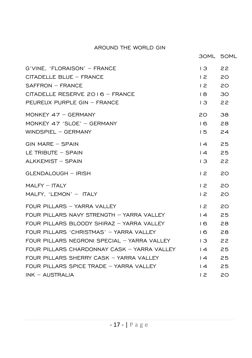#### AROUND THE WORLD GIN

| G'VINE. 'FLORAISON' - FRANCE                | $\overline{13}$ | 22 |
|---------------------------------------------|-----------------|----|
| CITADELLE BLUE - FRANCE                     | $\overline{2}$  | 20 |
| $SAFFRON - FRANCE$                          | 12              | 20 |
| CITADELLE RESERVE 2016 - FRANCE             | $\overline{8}$  | 30 |
| PEUREUX PURPLE GIN - FRANCE                 | 13.             | 22 |
| MONKEY $47 - GERMANY$                       | 20              | 38 |
| MONKEY 47 'SLOE' - GERMANY                  | 16              | 28 |
| WINDSPIEL - GERMANY                         | 15              | 24 |
| GIN MARE - SPAIN                            | $\overline{14}$ | 25 |
| LE TRIBUTE - SPAIN                          | $\overline{14}$ | 25 |
| ALKKEMIST - SPAIN                           | $\overline{3}$  | 22 |
| GLENDALOUGH - IRISH                         | 12              | 20 |
| $MALFY - ITALY$                             | 12              | 20 |
| MALFY, 'LEMON' - ITALY                      | 12              | 20 |
| FOUR PILLARS - YARRA VALLEY                 | 12              | 20 |
| FOUR PILLARS NAVY STRENGTH - YARRA VALLEY   | $\overline{4}$  | 25 |
| FOUR PILLARS BLOODY SHIRAZ - YARRA VALLEY   | 16              | 28 |
| FOUR PILLARS 'CHRISTMAS' - YARRA VALLEY     | 16              | 28 |
| FOUR PILLARS NEGRONI SPECIAL - YARRA VALLEY | $\overline{3}$  | 22 |
| FOUR PILLARS CHARDONNAY CASK - YARRA VALLEY | $\overline{14}$ | 25 |
| FOUR PILLARS SHERRY CASK - YARRA VALLEY     | $\overline{14}$ | 25 |
| FOUR PILLARS SPICE TRADE - YARRA VALLEY     | $\overline{14}$ | 25 |
| $INK - AUSTRALIA$                           | $\overline{2}$  | 20 |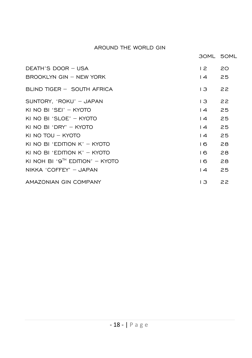#### AROUND THE WORLD GIN

|                                             | 30ML 50ML       |    |
|---------------------------------------------|-----------------|----|
| DEATH'S DOOR - USA                          | 12              | 20 |
| BROOKLYN GIN - NEW YORK                     | $\overline{14}$ | 25 |
| BLIND TIGER - SOUTH AFRICA                  | $\overline{3}$  | 22 |
| SUNTORY, 'ROKU' - JAPAN                     | 13.             | 22 |
| KI NO BI 'SEI' - KYOTO                      | $\overline{4}$  | 25 |
| KI NO BI 'SLOE' - KYOTO                     | $\overline{4}$  | 25 |
| KI NO BI 'DRY' - KYOTO                      | $\overline{14}$ | 25 |
| KI NO TOU - KYOTO                           | $\overline{4}$  | 25 |
| KI NO BI 'EDITION $K'$ – KYOTO              | 16.             | 28 |
| KI NO BI 'EDITION $K'$ – KYOTO              | 16              | 28 |
| KI NOH BI '9 <sup>th</sup> FDITION' - KYOTO | 16              | 28 |
| NIKKA 'COFFEY' - JAPAN                      | $\overline{14}$ | 25 |
| AMAZONIAN GIN COMPANY                       | I 3             | 22 |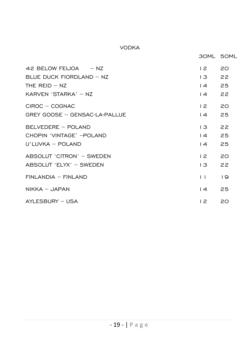#### VODKA

|                               | <b>30ML 50ML</b> |                 |
|-------------------------------|------------------|-----------------|
| 42 BELOW FEIJOA $- NZ$        | 12               | 20              |
| BLUE DUCK FIORDLAND $-$ NZ    | 13               | 22              |
| THE REID $-$ NZ               | $14$ 25          |                 |
| KARVEN 'STARKA' - NZ          | $\overline{14}$  | 22              |
| CIROC - COGNAC                | $\overline{2}$   | 20              |
| GREY GOOSE - GENSAC-LA-PALLUE | $\overline{14}$  | 25              |
| BELVEDERE - POLAND            | $13 -$           | 22              |
| CHOPIN 'VINTAGE' - POLAND     | $14$ 25          |                 |
| U'LUVKA - POLAND              | $\sqrt{4}$       | 25              |
| ABSOLUT 'CITRON' - SWEDEN     | 12               | 20              |
| ABSOLUT 'ELYX' - SWEDEN       | $\mathsf{L3}$    | 22              |
| $FINLANDIA - FINLAND$         | $\mathsf{L}$     | $\overline{19}$ |
| $NIKKA - JAPAN$               | $\overline{14}$  | 25              |
| AYLESBURY - USA               | $\overline{2}$   | 20              |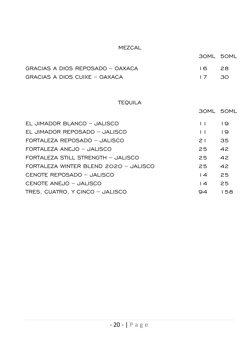#### MEZCAL

|                                  | 30ML 50ML |     |
|----------------------------------|-----------|-----|
| GRACIAS A DIOS REPOSADO - OAXACA | $16 -$    | -28 |
| GRACIAS A DIOS CUIXE – OAXACA    | 17.30     |     |

#### TEQUILA

|                                       |                 | 30ML 50ML       |
|---------------------------------------|-----------------|-----------------|
| EL JIMADOR BLANCO - JALISCO           | $\mathbf{L}$    | $\overline{19}$ |
| EL JIMADOR REPOSADO - JALISCO         | $\perp$         | $\overline{19}$ |
| FORTALEZA REPOSADO - JALISCO          | $\geq$ 1        | 35              |
| FORTALEZA ANEJO - JALISCO             | 25              | 42              |
| FORTALEZA STILL STRENGTH - JALISCO    | 25              | 42              |
| FORTALEZA WINTER BLEND 2020 - JALISCO | 25              | 42              |
| CENOTE REPOSADO - JALISCO             | $\overline{14}$ | 25              |
| CENOTE ANEJO - JALISCO                | $\overline{14}$ | 25              |
| TRES. CUATRO. Y CINCO - JALISCO       | 94              | 158             |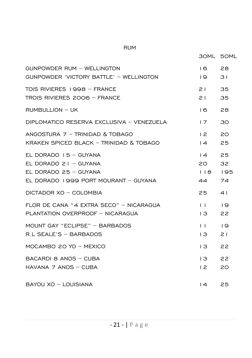|                                                                                                                     | 30ML 50ML                                   |                       |
|---------------------------------------------------------------------------------------------------------------------|---------------------------------------------|-----------------------|
| GUNPOWDER RUM - WELLINGTON<br>GUNPOWDER 'VICTORY BATTLE' - WELLINGTON                                               | 16<br>19 -                                  | 28<br>31              |
| TOIS RIVIERES 1998 - FRANCE<br>TROIS RIVIERES 2006 - FRANCE                                                         | 21<br>21                                    | 35<br>35              |
| $RUMBULLION - UK$                                                                                                   | 16                                          | 28                    |
| DIPLOMATICO RESERVA EXCLUSIVA - VENEZUELA                                                                           | 17                                          | 30                    |
| ANGOSTURA $7$ - TRINIDAD & TOBAGO<br>KRAKEN SPICED BLACK - TRINIDAD & TOBAGO                                        | 12<br>$\vert 4$                             | 20<br>25              |
| EL DORADO $15 - GUYANA$<br>EL DORADO $21 - GUVANA$<br>EL DORADO 25 - GUYANA<br>EL DORADO 1999 PORT MOURANT - GUYANA | $\overline{14}$<br>20 a<br>  18   195<br>44 | 25<br>32<br>74        |
| DICTADOR XO - COLOMBIA                                                                                              | 25                                          | 41                    |
| FLOR DE CANA "4 EXTRA SECO" - NICARAGUA<br>PLANTATION OVERPROOF - NICARAGUA                                         | $\mathbf{1}$<br>$\overline{13}$             | $\overline{19}$<br>22 |
| MOUNT GAY "ECLIPSE" - BARBADOS<br>R.L SEALE'S - BARBADOS                                                            | 11<br>$\overline{3}$                        | $\overline{19}$<br>21 |
| MOCAMBO 20 YO - MEXICO                                                                                              | $13 -$                                      | 22                    |
| BACARDI 8 ANOS - CUBA<br>HAVANA 7 ANOS - CUBA                                                                       | $13 -$<br>$\overline{2}$                    | 22<br>20              |
| BAYOU XO - LOUISIANA                                                                                                | $\overline{4}$                              | 25                    |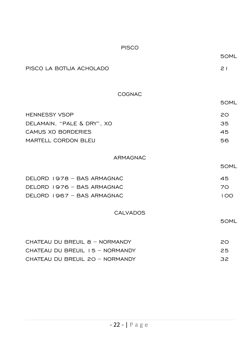| <b>PISCO</b>                     |      |
|----------------------------------|------|
|                                  | 50ML |
| PISCO LA BOTIJA ACHOLADO         | 21   |
|                                  |      |
| COGNAC                           |      |
|                                  | 50ML |
| <b>HENNESSY VSOP</b>             | 20   |
| DELAMAIN, "PALE & DRY", XO       | 35   |
| <b>CAMUS XO BORDERIES</b>        | 45   |
| MARTELL CORDON BLEU              | 56   |
| <b>ARMAGNAC</b>                  |      |
|                                  | 50ML |
| DELORD 1978 - BAS ARMAGNAC       | 45   |
| DELORD 1976 - BAS ARMAGNAC       | 70   |
| DELORD 1967 - BAS ARMAGNAC       | 100  |
| <b>CALVADOS</b>                  |      |
|                                  | 50ML |
|                                  |      |
| CHATEAU DU BREUIL 8 - NORMANDY   | 20   |
| CHATEAU DU BREUIL I 5 - NORMANDY | 25   |
| CHATEAU DU BREUIL 20 - NORMANDY  | 32   |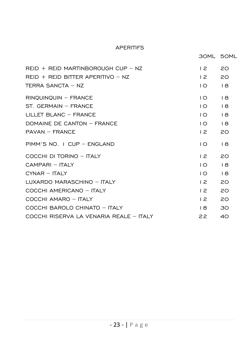#### APERITIFS

30ML 50ML REID + REID MARTINBOROUGH CUP – NZ 12 20 REID + REID BITTER APERITIVO - NZ 12 20 TERRA SANCTA – NZ 10 18 RINQUINQUIN – FRANCE 10 18 ST. GERMAIN – FRANCE 10 18 LILLET BLANC – FRANCE 10 18 DOMAINE DE CANTON – FRANCE 10 18 PAVAN – FRANCE 12 20 PIMM'S NO. 1 CUP – ENGLAND 10 18 COCCHI DI TORINO – ITALY 12 20 CAMPARI – ITALY 10 18 CYNAR – ITALY 10 18 LUXARDO MARASCHINO – ITALY 12 20 COCCHI AMERICANO – ITALY 12 20 COCCHI AMARO – ITALY 12 20 COCCHI BAROLO CHINATO – ITALY 18 30 COCCHI RISERVA LA VENARIA REALE – ITALY 22 40